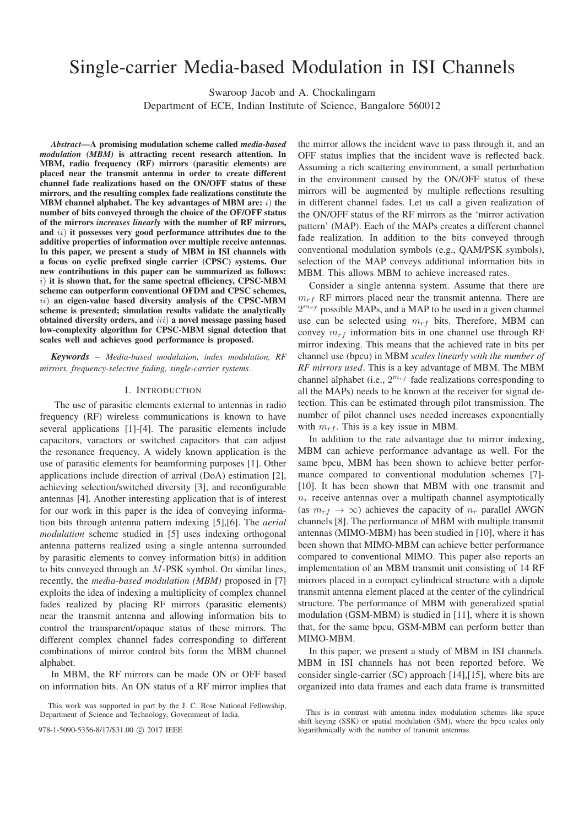# Single-carrier Media-based Modulation in ISI Channels

Swaroop Jacob and A. Chockalingam

Department of ECE, Indian Institute of Science, Bangalore 560012

*Abstract***—A promising modulation scheme called** *media-based modulation (MBM)* **is attracting recent research attention. In MBM, radio frequency (RF) mirrors (parasitic elements) are placed near the transmit antenna in order to create different channel fade realizations based on the ON/OFF status of these mirrors, and the resulting complex fade realizations constitute the MBM channel alphabet. The key advantages of MBM are:** *i*) the **number of bits conveyed through the choice of the OF/OFF status of the mirrors** *increases linearly* **with the number of RF mirrors,** and *ii*) it possesses very good performance attributes due to the **additive properties of information over multiple receive antennas. In this paper, we present a study of MBM in ISI channels with a focus on cyclic prefixed single carrier (CPSC) systems. Our new contributions in this paper can be summarized as follows:** ) **it is shown that, for the same spectral efficiency, CPSC-MBM scheme can outperform conventional OFDM and CPSC schemes,** ) **an eigen-value based diversity analysis of the CPSC-MBM scheme is presented; simulation results validate the analytically obtained diversity orders, and**  $iii)$  a novel message passing based **low-complexity algorithm for CPSC-MBM signal detection that scales well and achieves good performance is proposed.**

*Keywords* – *Media-based modulation, index modulation, RF mirrors, frequency-selective fading, single-carrier systems.*

# I. INTRODUCTION

The use of parasitic elements external to antennas in radio frequency (RF) wireless communications is known to have several applications [1]-[4]. The parasitic elements include capacitors, varactors or switched capacitors that can adjust the resonance frequency. A widely known application is the use of parasitic elements for beamforming purposes [1]. Other applications include direction of arrival (DoA) estimation [2], achieving selection/switched diversity [3], and reconfigurable antennas [4]. Another interesting application that is of interest for our work in this paper is the idea of conveying information bits through antenna pattern indexing [5],[6]. The *aerial modulation* scheme studied in [5] uses indexing orthogonal antenna patterns realized using a single antenna surrounded by parasitic elements to convey information bit(s) in addition to bits conveyed through an  $M$ -PSK symbol. On similar lines, recently, the *media-based modulation (MBM)* proposed in [7] exploits the idea of indexing a multiplicity of complex channel fades realized by placing RF mirrors (parasitic elements) near the transmit antenna and allowing information bits to control the transparent/opaque status of these mirrors. The different complex channel fades corresponding to different combinations of mirror control bits form the MBM channel alphabet.

In MBM, the RF mirrors can be made ON or OFF based on information bits. An ON status of a RF mirror implies that

This work was supported in part by the J. C. Bose National Fellowship, Department of Science and Technology, Government of India.

the mirror allows the incident wave to pass through it, and an OFF status implies that the incident wave is reflected back. Assuming a rich scattering environment, a small perturbation in the environment caused by the ON/OFF status of these mirrors will be augmented by multiple reflections resulting in different channel fades. Let us call a given realization of the ON/OFF status of the RF mirrors as the 'mirror activation pattern' (MAP). Each of the MAPs creates a different channel fade realization. In addition to the bits conveyed through conventional modulation symbols (e.g., QAM/PSK symbols), selection of the MAP conveys additional information bits in MBM. This allows MBM to achieve increased rates.

Consider a single antenna system. Assume that there are  $m_{rf}$  RF mirrors placed near the transmit antenna. There are  $2^{m_{rf}}$  possible MAPs, and a MAP to be used in a given channel use can be selected using  $m_{rf}$  bits. Therefore, MBM can convey  $m_{rf}$  information bits in one channel use through RF mirror indexing. This means that the achieved rate in bits per channel use (bpcu) in MBM *scales linearly with the number of RF mirrors used*. This is a key advantage of MBM. The MBM channel alphabet (i.e.,  $2^{m_{rf}}$  fade realizations corresponding to all the MAPs) needs to be known at the receiver for signal detection. This can be estimated through pilot transmission. The number of pilot channel uses needed increases exponentially with  $m_{rf}$ . This is a key issue in MBM.

In addition to the rate advantage due to mirror indexing, MBM can achieve performance advantage as well. For the same bpcu, MBM has been shown to achieve better performance compared to conventional modulation schemes [7]- [10]. It has been shown that MBM with one transmit and  $n_r$  receive antennas over a multipath channel asymptotically (as  $m_{rf} \rightarrow \infty$ ) achieves the capacity of  $n_r$  parallel AWGN channels [8]. The performance of MBM with multiple transmit antennas (MIMO-MBM) has been studied in [10], where it has been shown that MIMO-MBM can achieve better performance compared to conventional MIMO. This paper also reports an implementation of an MBM transmit unit consisting of 14 RF mirrors placed in a compact cylindrical structure with a dipole transmit antenna element placed at the center of the cylindrical structure. The performance of MBM with generalized spatial modulation (GSM-MBM) is studied in [11], where it is shown that, for the same bpcu, GSM-MBM can perform better than MIMO-MBM.

In this paper, we present a study of MBM in ISI channels. MBM in ISI channels has not been reported before. We consider single-carrier (SC) approach [14],[15], where bits are organized into data frames and each data frame is transmitted

This is in contrast with antenna index modulation schemes like space shift keying (SSK) or spatial modulation (SM), where the bpcu scales only 978-1-5090-5356-8/17/\$31.00  $\odot$  2017 IEEE logarithmically with the number of transmit antennas.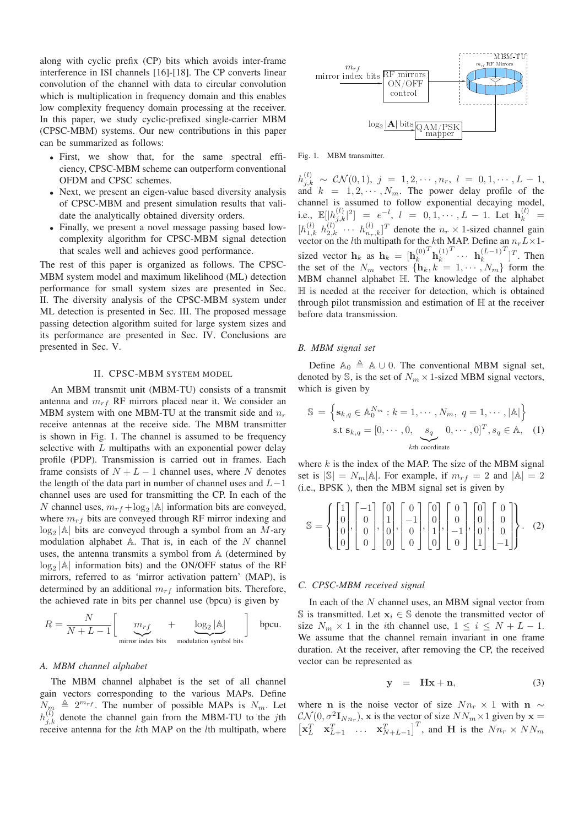along with cyclic prefix (CP) bits which avoids inter-frame interference in ISI channels [16]-[18]. The CP converts linear convolution of the channel with data to circular convolution which is multiplication in frequency domain and this enables low complexity frequency domain processing at the receiver. In this paper, we study cyclic-prefixed single-carrier MBM (CPSC-MBM) systems. Our new contributions in this paper can be summarized as follows:

- <sup>∙</sup> First, we show that, for the same spectral efficiency, CPSC-MBM scheme can outperform conventional OFDM and CPSC schemes.
- <sup>∙</sup> Next, we present an eigen-value based diversity analysis of CPSC-MBM and present simulation results that validate the analytically obtained diversity orders.
- <sup>∙</sup> Finally, we present a novel message passing based lowcomplexity algorithm for CPSC-MBM signal detection that scales well and achieves good performance.

The rest of this paper is organized as follows. The CPSC-MBM system model and maximum likelihood (ML) detection performance for small system sizes are presented in Sec. II. The diversity analysis of the CPSC-MBM system under ML detection is presented in Sec. III. The proposed message passing detection algorithm suited for large system sizes and its performance are presented in Sec. IV. Conclusions are presented in Sec. V.

# II. CPSC-MBM SYSTEM MODEL

An MBM transmit unit (MBM-TU) consists of a transmit antenna and  $m_{rf}$  RF mirrors placed near it. We consider an MBM system with one MBM-TU at the transmit side and  $n_r$ receive antennas at the receive side. The MBM transmitter is shown in Fig. 1. The channel is assumed to be frequency selective with  $L$  multipaths with an exponential power delay profile (PDP). Transmission is carried out in frames. Each frame consists of  $N + L - 1$  channel uses, where N denotes the length of the data part in number of channel uses and  $L-1$ channel uses are used for transmitting the CP. In each of the N channel uses,  $m_{rf} + \log_2 |\mathbb{A}|$  information bits are conveyed, where  $m_{rf}$  bits are conveyed through RF mirror indexing and  $\log_2$ |A| bits are conveyed through a symbol from an M-ary modulation alphabet  $A$ . That is, in each of the  $N$  channel uses, the antenna transmits a symbol from A (determined by log<sub>2</sub> |A| information bits) and the ON/OFF status of the RF mirrors, referred to as 'mirror activation pattern' (MAP), is determined by an additional  $m_{rf}$  information bits. Therefore, the achieved rate in bits per channel use (bpcu) is given by

$$
R = \frac{N}{N + L - 1} \left[ \underbrace{m_{rf}}_{\text{mirror index bits}} + \underbrace{\log_2 |\mathbb{A}|}_{\text{modulation symbol bits}} \right] \text{ bpcu.}
$$

#### *A. MBM channel alphabet*

The MBM channel alphabet is the set of all channel gain vectors corresponding to the various MAPs. Define  $N_m \triangleq 2^{m_{rf}}$ . The number of possible MAPs is  $N_m$ . Let  $h_{j,k}^{(l)}$  denote the channel gain from the MBM-TU to the jth receive antenna for the kth MAP on the lth multipath, where



Fig. 1. MBM transmitter.

 $h_{j,k}^{(l)} \sim \mathcal{CN}(0,1), \; j \; = \; 1, 2, \cdots, n_r, \; l \; = \; 0, 1, \cdots, L \; - \; 1,$ and  $k = 1, 2, \dots, N_m$ . The power delay profile of the channel is assumed to follow exponential decaying model, i.e.,  $\mathbb{E}[|h_{j,k}^{(l)}|^2] = e^{-l}, l = 0, 1, \cdots, L - 1$ . Let  $\mathbf{h}_k^{(l)} =$  $[h_{1,k}^{(l)}\ h_{2,k}^{(l)}\ \cdots\ h_{n_r,k}^{(l)}]^T$  denote the  $n_r \times 1$ -sized channel gain vector on the *l*th multipath for the *k*th MAP. Define an  $n_r L \times 1$ sized vector **h**<sub>k</sub> as **h**<sub>k</sub> = [**h**<sub>k</sub><sup>(0)</sup>)  $\frac{T}{\mathbf{h}_k^{(1)}}$  $T \ldots$  **h** $_k^{(L-1)}$  $T$ ] $T$ . Then the set of the  $N_m$  vectors  $\{h_k, k = 1, \cdots, N_m\}$  form the MBM channel alphabet ℍ. The knowledge of the alphabet ℍ is needed at the receiver for detection, which is obtained through pilot transmission and estimation of ℍ at the receiver before data transmission.

# *B. MBM signal set*

Define  $\mathbb{A}_0 \triangleq \mathbb{A} \cup 0$ . The conventional MBM signal set, denoted by  $\mathbb{S}$ , is the set of  $N_m \times 1$ -sized MBM signal vectors, which is given by

$$
\mathbb{S} = \left\{ \mathbf{s}_{k,q} \in \mathbb{A}_0^{N_m} : k = 1, \cdots, N_m, q = 1, \cdots, |\mathbb{A}| \right\}
$$
  
s.t  $\mathbf{s}_{k,q} = [0, \cdots, 0, \underbrace{s_q}_{k\text{th coordinate}}, 0, \cdots, 0]^T, s_q \in \mathbb{A}, (1)$ 

where  $k$  is the index of the MAP. The size of the MBM signal set is  $|\mathbb{S}| = N_m |\mathbb{A}|$ . For example, if  $m_{rf} = 2$  and  $|\mathbb{A}| = 2$ (i.e., BPSK ), then the MBM signal set is given by

$$
\mathbb{S} = \left\{ \begin{bmatrix} 1 \\ 0 \\ 0 \\ 0 \end{bmatrix}, \begin{bmatrix} -1 \\ 0 \\ 0 \\ 0 \end{bmatrix}, \begin{bmatrix} 0 \\ 1 \\ 0 \\ 0 \end{bmatrix}, \begin{bmatrix} 0 \\ -1 \\ 0 \\ 0 \end{bmatrix}, \begin{bmatrix} 0 \\ 0 \\ 1 \\ 0 \end{bmatrix}, \begin{bmatrix} 0 \\ 0 \\ -1 \\ 0 \end{bmatrix}, \begin{bmatrix} 0 \\ 0 \\ 0 \\ 1 \end{bmatrix}, \begin{bmatrix} 0 \\ 0 \\ 0 \\ -1 \end{bmatrix} \right\}. (2)
$$

## *C. CPSC-MBM received signal*

In each of the  $N$  channel uses, an MBM signal vector from § is transmitted. Let  $\mathbf{x}_i$  ∈ § denote the transmitted vector of size  $N_m \times 1$  in the *i*th channel use,  $1 \le i \le N + L - 1$ . We assume that the channel remain invariant in one frame duration. At the receiver, after removing the CP, the received vector can be represented as

$$
y = Hx + n,\t(3)
$$

where **n** is the noise vector of size  $Nn_r \times 1$  with **n** ∼  $\mathcal{CN}(0, \sigma^2 \mathbf{I}_{Nn_r})$ , **x** is the vector of size  $NN_m \times 1$  given by  $\mathbf{x} =$  $\begin{bmatrix} \mathbf{x}_L^T & \mathbf{x}_{L+1}^T & \dots & \mathbf{x}_{N+L-1}^T \end{bmatrix}^T$ , and **H** is the  $Nn_r \times NN_m$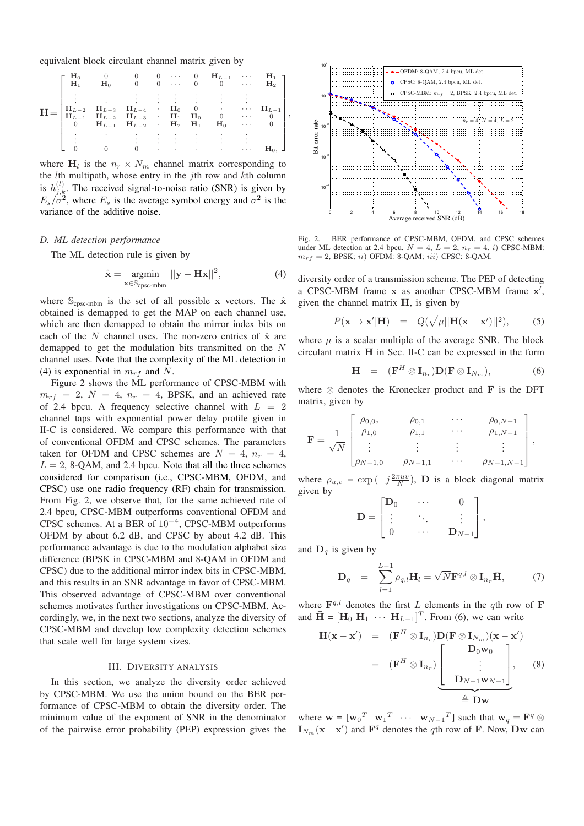equivalent block circulant channel matrix given by

$$
\mathbf{H} = \begin{bmatrix} \mathbf{H}_0 & 0 & 0 & 0 & \cdots & 0 & \mathbf{H}_{L-1} & \cdots & \mathbf{H}_1 \\ \mathbf{H}_1 & \mathbf{H}_0 & 0 & 0 & \cdots & 0 & 0 & \cdots & \mathbf{H}_2 \\ \vdots & \vdots & \vdots & \vdots & \vdots & \vdots & \vdots & \vdots & \vdots \\ \mathbf{H}_{L-2} & \mathbf{H}_{L-3} & \mathbf{H}_{L-4} & \mathbf{H}_0 & 0 & \cdots & \mathbf{H}_{L-1} \\ \mathbf{H}_{L-1} & \mathbf{H}_{L-2} & \mathbf{H}_{L-3} & \mathbf{H}_1 & \mathbf{H}_0 & 0 & \cdots & 0 \\ 0 & \mathbf{H}_{L-1} & \mathbf{H}_{L-2} & \mathbf{H}_2 & \mathbf{H}_1 & \mathbf{H}_0 & \cdots & 0 \\ \vdots & \vdots & \vdots & \vdots & \vdots & \vdots & \vdots & \vdots \\ 0 & 0 & 0 & \cdots & \cdots & \cdots & \mathbf{H}_0, \end{bmatrix}
$$

where  $H_l$  is the  $n_r \times N_m$  channel matrix corresponding to the  $l$ th multipath, whose entry in the  $j$ th row and  $k$ th column is  $h_{j,k}^{(l)}$ . The received signal-to-noise ratio (SNR) is given by  $E_s/\sigma^2$ , where  $E_s$  is the average symbol energy and  $\sigma^2$  is the variance of the additive noise.

# *D. ML detection performance*

The ML detection rule is given by

$$
\hat{\mathbf{x}} = \underset{\mathbf{x} \in \mathbb{S}_{\text{cpsc-mbm}}}{\text{argmin}} ||\mathbf{y} - \mathbf{H}\mathbf{x}||^2, \tag{4}
$$

,

where  $S_{\text{cpsc-mbm}}$  is the set of all possible **x** vectors. The  $\hat{\mathbf{x}}$ obtained is demapped to get the MAP on each channel use, which are then demapped to obtain the mirror index bits on each of the  $N$  channel uses. The non-zero entries of  $\hat{\mathbf{x}}$  are demapped to get the modulation bits transmitted on the  $N$ channel uses. Note that the complexity of the ML detection in (4) is exponential in  $m_{rf}$  and N.

Figure 2 shows the ML performance of CPSC-MBM with  $m_{rf}$  = 2,  $N = 4$ ,  $n_r = 4$ , BPSK, and an achieved rate of 2.4 bpcu. A frequency selective channel with  $L = 2$ channel taps with exponential power delay profile given in II-C is considered. We compare this performance with that of conventional OFDM and CPSC schemes. The parameters taken for OFDM and CPSC schemes are  $N = 4$ ,  $n_r = 4$ ,  $L = 2$ , 8-QAM, and 2.4 bpcu. Note that all the three schemes considered for comparison (i.e., CPSC-MBM, OFDM, and CPSC) use one radio frequency (RF) chain for transmission. From Fig. 2, we observe that, for the same achieved rate of 2.4 bpcu, CPSC-MBM outperforms conventional OFDM and CPSC schemes. At a BER of 10−<sup>4</sup>, CPSC-MBM outperforms OFDM by about 6.2 dB, and CPSC by about 4.2 dB. This performance advantage is due to the modulation alphabet size difference (BPSK in CPSC-MBM and 8-QAM in OFDM and CPSC) due to the additional mirror index bits in CPSC-MBM, and this results in an SNR advantage in favor of CPSC-MBM. This observed advantage of CPSC-MBM over conventional schemes motivates further investigations on CPSC-MBM. Accordingly, we, in the next two sections, analyze the diversity of CPSC-MBM and develop low complexity detection schemes that scale well for large system sizes.

#### III. DIVERSITY ANALYSIS

In this section, we analyze the diversity order achieved by CPSC-MBM. We use the union bound on the BER performance of CPSC-MBM to obtain the diversity order. The minimum value of the exponent of SNR in the denominator of the pairwise error probability (PEP) expression gives the



Fig. 2. BER performance of CPSC-MBM, OFDM, and CPSC schemes under ML detection at 2.4 bpcu,  $N = 4$ ,  $L = 2$ ,  $n_r = 4$ . i) CPSC-MBM:  $m_{rf} = 2$ , BPSK; ii) OFDM: 8-QAM; iii) CPSC: 8-QAM.

diversity order of a transmission scheme. The PEP of detecting a CPSC-MBM frame **x** as another CPSC-MBM frame **x**′ , given the channel matrix **H**, is given by

$$
P(\mathbf{x} \to \mathbf{x}'|\mathbf{H}) = Q(\sqrt{\mu||\mathbf{H}(\mathbf{x} - \mathbf{x}')||^2}), \quad (5)
$$

where  $\mu$  is a scalar multiple of the average SNR. The block circulant matrix **H** in Sec. II-C can be expressed in the form

$$
\mathbf{H} = (\mathbf{F}^H \otimes \mathbf{I}_{n_r}) \mathbf{D} (\mathbf{F} \otimes \mathbf{I}_{N_m}), \tag{6}
$$

where ⊗ denotes the Kronecker product and **F** is the DFT matrix, given by

$$
\mathbf{F} = \frac{1}{\sqrt{N}} \begin{bmatrix} \rho_{0,0}, & \rho_{0,1} & \cdots & \rho_{0,N-1} \\ \rho_{1,0} & \rho_{1,1} & \cdots & \rho_{1,N-1} \\ \vdots & \vdots & \vdots & \vdots \\ \rho_{N-1,0} & \rho_{N-1,1} & \cdots & \rho_{N-1,N-1} \end{bmatrix},
$$

where  $\rho_{u,v} = \exp(-j\frac{2\pi uv}{N})$ , **D** is a block diagonal matrix given by

$$
\mathbf{D} = \begin{bmatrix} \mathbf{D}_0 & \cdots & 0 \\ \vdots & \ddots & \vdots \\ 0 & \cdots & \mathbf{D}_{N-1} \end{bmatrix},
$$

and  $D_q$  is given by

$$
\mathbf{D}_q = \sum_{l=1}^{L-1} \rho_{q,l} \mathbf{H}_l = \sqrt{N} \mathbf{F}^{q,l} \otimes \mathbf{I}_{n_r} \bar{\mathbf{H}}, \qquad (7)
$$

where  $\mathbf{F}^{q,l}$  denotes the first L elements in the qth row of **F** and  $\mathbf{\bar{H}} = [\mathbf{H}_0 \ \mathbf{H}_1 \ \cdots \ \mathbf{H}_{L-1}]^T$ . From (6), we can write

$$
\mathbf{H}(\mathbf{x} - \mathbf{x}') = (\mathbf{F}^H \otimes \mathbf{I}_{n_r}) \mathbf{D}(\mathbf{F} \otimes \mathbf{I}_{N_m})(\mathbf{x} - \mathbf{x}')
$$
  
\n
$$
= (\mathbf{F}^H \otimes \mathbf{I}_{n_r}) \underbrace{\begin{bmatrix} \mathbf{D}_0 \mathbf{w}_0 \\ \vdots \\ \mathbf{D}_{N-1} \mathbf{w}_{N-1} \end{bmatrix}}_{\triangleq \mathbf{D} \mathbf{w}},
$$
(8)

where  $\mathbf{w} = [\mathbf{w}_0]^T \mathbf{w}_1^T \cdots \mathbf{w}_{N-1}^T]$  such that  $\mathbf{w}_q = \mathbf{F}^q \otimes \mathbf{F}^T$  $\mathbf{I}_{N_m}(\mathbf{x} - \mathbf{x}')$  and  $\mathbf{F}^q$  denotes the qth row of **F**. Now, **Dw** can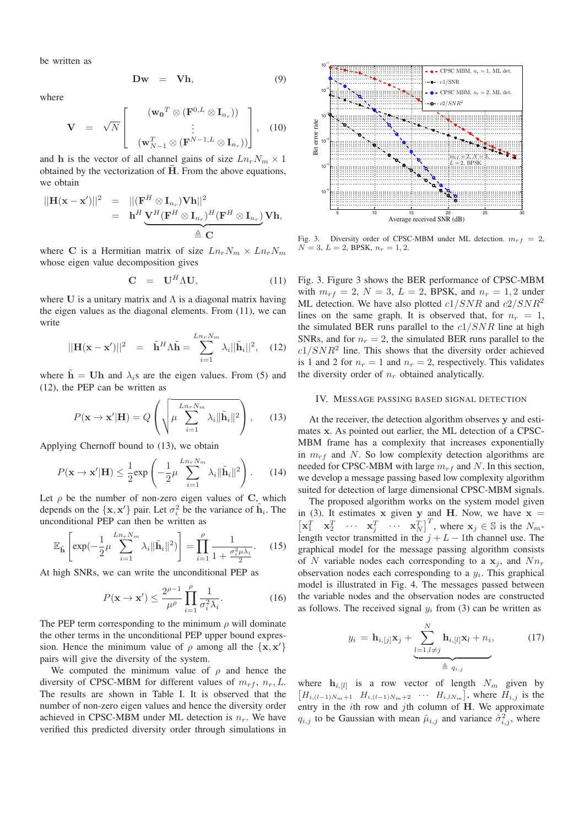be written as

$$
Dw = Vh, \t\t(9)
$$

where

$$
\mathbf{V} = \sqrt{N} \begin{bmatrix} (\mathbf{w_0}^T \otimes (\mathbf{F}^{0,L} \otimes \mathbf{I}_{n_r})) \\ \vdots \\ (\mathbf{w}_{N-1}^T \otimes (\mathbf{F}^{N-1,L} \otimes \mathbf{I}_{n_r})) \end{bmatrix}, \quad (10)
$$

and **h** is the vector of all channel gains of size  $Ln_r N_m \times 1$ obtained by the vectorization of  $\overline{H}$ . From the above equations, we obtain

$$
||\mathbf{H}(\mathbf{x} - \mathbf{x}')||^2 = ||(\mathbf{F}^H \otimes \mathbf{I}_{n_r}) \mathbf{V} \mathbf{h}||^2
$$
  
=  $\mathbf{h}^H \underbrace{\mathbf{V}^H (\mathbf{F}^H \otimes \mathbf{I}_{n_r})^H (\mathbf{F}^H \otimes \mathbf{I}_{n_r})}_{\triangleq \mathbf{C}} \mathbf{V} \mathbf{h},$ 

where C is a Hermitian matrix of size  $Ln_r N_m \times Ln_r N_m$ whose eigen value decomposition gives

$$
\mathbf{C} = \mathbf{U}^H \Lambda \mathbf{U}, \tag{11}
$$

where  $U$  is a unitary matrix and  $\Lambda$  is a diagonal matrix having the eigen values as the diagonal elements. From (11), we can write

$$
||\mathbf{H}(\mathbf{x} - \mathbf{x}')||^2 = \tilde{\mathbf{h}}^H \Lambda \tilde{\mathbf{h}} = \sum_{i=1}^{Ln_r N_m} \lambda_i ||\tilde{\mathbf{h}}_i||^2, \quad (12)
$$

where  $h = Uh$  and  $\lambda_i s$  are the eigen values. From (5) and (12), the PEP can be written as

$$
P(\mathbf{x} \to \mathbf{x'}|\mathbf{H}) = Q\left(\sqrt{\mu \sum_{i=1}^{Ln_rN_m} \lambda_i \|\tilde{\mathbf{h}}_i\|^2}\right),\qquad(13)
$$

Applying Chernoff bound to (13), we obtain

$$
P(\mathbf{x} \to \mathbf{x}'|\mathbf{H}) \le \frac{1}{2} \exp\left(-\frac{1}{2}\mu \sum_{i=1}^{Ln_r N_m} \lambda_i \|\tilde{\mathbf{h}}_i\|^2\right). \tag{14}
$$

Let  $\rho$  be the number of non-zero eigen values of C, which depends on the  $\{x, x'\}$  pair. Let  $\sigma_i^2$  be the variance of  $\tilde{h}_i$ . The unconditional PEP can then be written as

$$
\mathbb{E}_{\tilde{\mathbf{h}}}\left[\exp(-\frac{1}{2}\mu\sum_{i=1}^{Ln_rN_m}\lambda_i\|\tilde{\mathbf{h}}_i\|^2)\right] = \prod_{i=1}^{\rho}\frac{1}{1+\frac{\sigma_i^2\mu\lambda_i}{2}}.\tag{15}
$$

At high SNRs, we can write the unconditional PEP as

$$
P(\mathbf{x} \to \mathbf{x}') \le \frac{2^{\rho - 1}}{\mu^{\rho}} \prod_{i=1}^{\rho} \frac{1}{\sigma_i^2 \lambda_i}.
$$
 (16)

The PEP term corresponding to the minimum  $\rho$  will dominate the other terms in the unconditional PEP upper bound expression. Hence the minimum value of  $\rho$  among all the  $\{x, x'\}$ pairs will give the diversity of the system.

We computed the minimum value of  $\rho$  and hence the diversity of CPSC-MBM for different values of  $m_{rf}$ ,  $n_r$ , L. The results are shown in Table I. It is observed that the number of non-zero eigen values and hence the diversity order achieved in CPSC-MBM under ML detection is  $n_r$ . We have verified this predicted diversity order through simulations in



Fig. 3. Diversity order of CPSC-MBM under ML detection.  $m_{rf} = 2$ ,  $N = 3, L = 2$ , BPSK,  $n_r = 1, 2$ .

Fig. 3. Figure 3 shows the BER performance of CPSC-MBM with  $m_{rf} = 2$ ,  $N = 3$ ,  $L = 2$ , BPSK, and  $n_r = 1, 2$  under ML detection. We have also plotted  $c1/SNR$  and  $c2/SNR^2$ lines on the same graph. It is observed that, for  $n_r = 1$ , the simulated BER runs parallel to the  $c1/SNR$  line at high SNRs, and for  $n_r = 2$ , the simulated BER runs parallel to the  $c1/SNR<sup>2</sup>$  line. This shows that the diversity order achieved is 1 and 2 for  $n_r = 1$  and  $n_r = 2$ , respectively. This validates the diversity order of  $n_r$  obtained analytically.

#### IV. MESSAGE PASSING BASED SIGNAL DETECTION

At the receiver, the detection algorithm observes **y** and estimates **x**. As pointed out earlier, the ML detection of a CPSC-MBM frame has a complexity that increases exponentially in  $m_{rf}$  and N. So low complexity detection algorithms are needed for CPSC-MBM with large  $m_{rf}$  and N. In this section, we develop a message passing based low complexity algorithm suited for detection of large dimensional CPSC-MBM signals.

The proposed algorithm works on the system model given in (3). It estimates **x** given **y** and **H**. Now, we have  $x =$  $\begin{bmatrix} \mathbf{x}_1^T & \mathbf{x}_2^T & \cdots & \mathbf{x}_j^T \end{bmatrix}^T$ , where  $\mathbf{x}_j \in \mathbb{S}$  is the  $N_m$ length vector transmitted in the  $j + L - 1$ th channel use. The graphical model for the message passing algorithm consists of N variable nodes each corresponding to a  $x_i$ , and  $Nn_r$ observation nodes each corresponding to a  $y_i$ . This graphical model is illustrated in Fig. 4. The messages passed between the variable nodes and the observation nodes are constructed as follows. The received signal  $y_i$  from (3) can be written as

$$
y_i = \mathbf{h}_{i,[j]}\mathbf{x}_j + \underbrace{\sum_{l=1,l\neq j}^{N} \mathbf{h}_{i,[l]}\mathbf{x}_l + n_i}_{\triangleq q_{i,j}},
$$
 (17)

where  $\mathbf{h}_{i,[l]}$  is a row vector of length  $N_m$  given by  $[H_{i,(l-1)N_m+1} \ H_{i,(l-1)N_m+2} \ \cdots \ H_{i,lN_m}],$  where  $H_{i,j}$  is the entry in the  $i$ th row and  $j$ th column of  $H$ . We approximate  $q_{i,j}$  to be Gaussian with mean  $\hat{\mu}_{i,j}$  and variance  $\hat{\sigma}_{i,j}^2$ , where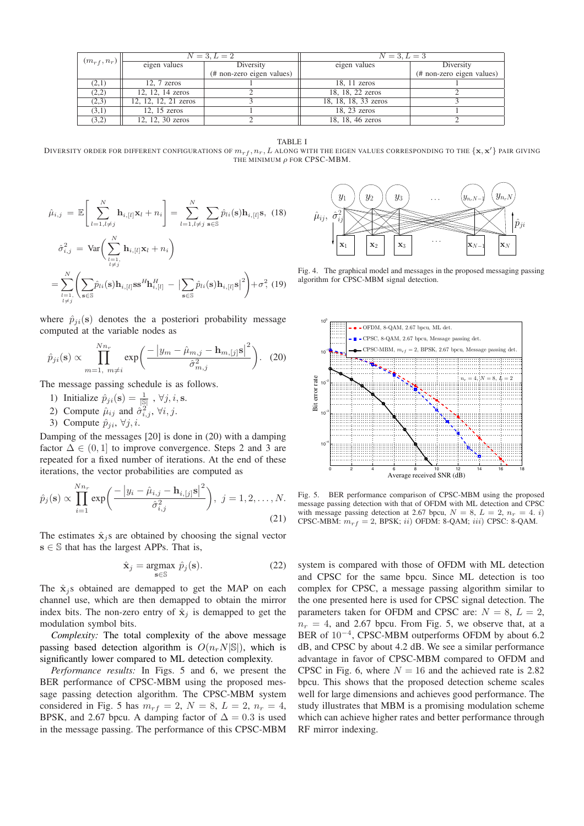|  | $(m_{rf}, n_r)$ | $N = 3, L = 2$       |                           | $N = 3, L = 3$       |                           |
|--|-----------------|----------------------|---------------------------|----------------------|---------------------------|
|  |                 | eigen values         | Diversity                 | eigen values         | Diversity                 |
|  |                 |                      | (# non-zero eigen values) |                      | (# non-zero eigen values) |
|  | (2,1)           | $12, 7$ zeros        |                           | $18, 11$ zeros       |                           |
|  | (2,2)           | 12, 12, 14 zeros     |                           | 18, 18, 22 zeros     |                           |
|  | (2,3)           | 12, 12, 12, 21 zeros |                           | 18, 18, 18, 33 zeros |                           |
|  | (3,1)           | $12, 15$ zeros       |                           | 18, 23 zeros         |                           |
|  | (3,2)           | 12, 12, 30 zeros     |                           | 18, 18, 46 zeros     |                           |

TABLE I

DIVERSITY ORDER FOR DIFFERENT CONFIGURATIONS OF  $m_{rf}, n_r, L$  along with the eigen values corresponding to the  $\{{\bf x}, {\bf x'}\}$  pair giving THE MINIMUM  $\rho$  FOR CPSC-MBM.

$$
\hat{\mu}_{i,j} = \mathbb{E}\left[\sum_{l=1, l \neq j}^{N} \mathbf{h}_{i,[l]} \mathbf{x}_{l} + n_{i}\right] = \sum_{l=1, l \neq j}^{N} \sum_{\mathbf{s} \in \mathbb{S}} \hat{p}_{li}(\mathbf{s}) \mathbf{h}_{i,[l]} \mathbf{s}, (18)
$$

$$
\hat{\sigma}_{i,j}^{2} = \text{Var}\left(\sum_{\substack{l=1, \\ l \neq j}}^{N} \mathbf{h}_{i,[l]} \mathbf{x}_{l} + n_{i}\right)
$$

$$
= \sum_{\substack{l=1, \\ l \neq j}}^{N} \left(\sum_{\mathbf{s} \in \mathbb{S}} \hat{p}_{li}(\mathbf{s}) \mathbf{h}_{i,[l]} \mathbf{s} \mathbf{s}^{H} \mathbf{h}_{i,[l]}^{H} - \left|\sum_{\mathbf{s} \in \mathbb{S}} \hat{p}_{li}(\mathbf{s}) \mathbf{h}_{i,[l]} \mathbf{s}\right|^{2}\right) + \sigma^{2}, (19)
$$

where  $\hat{p}_{ji}(\mathbf{s})$  denotes the a posteriori probability message computed at the variable nodes as

$$
\hat{p}_{ji}(\mathbf{s}) \propto \prod_{m=1, m \neq i}^{Nn_r} \exp\bigg(\frac{-\left|y_m - \hat{\mu}_{m,j} - \mathbf{h}_{m,[j]}\mathbf{s}\right|^2}{\hat{\sigma}_{m,j}^2}\bigg). \tag{20}
$$

The message passing schedule is as follows.

- 1) Initialize  $\hat{p}_{ji}(\mathbf{s}) = \frac{1}{|\mathcal{S}|}, \forall j, i, \mathbf{s}.$
- 2) Compute  $\hat{\mu}_{ij}$  and  $\hat{\sigma}_{i,j}^2$ ,  $\forall i, j$ .
- 3) Compute  $\hat{p}_{ii}$ ,  $\forall j, i$

Damping of the messages [20] is done in (20) with a damping factor  $\Delta \in (0, 1]$  to improve convergence. Steps 2 and 3 are repeated for a fixed number of iterations. At the end of these iterations, the vector probabilities are computed as

$$
\hat{p}_j(\mathbf{s}) \propto \prod_{i=1}^{Nn_r} \exp\bigg(\frac{-|y_i - \hat{\mu}_{i,j} - \mathbf{h}_{i,[j]}\mathbf{s}|^2}{\hat{\sigma}_{i,j}^2}\bigg), \ j = 1, 2, \dots, N. \tag{21}
$$

The estimates  $\hat{\mathbf{x}}_i$ s are obtained by choosing the signal vector  $s \in \mathbb{S}$  that has the largest APPs. That is,

$$
\hat{\mathbf{x}}_j = \underset{\mathbf{s} \in \mathbb{S}}{\operatorname{argmax}} \ \hat{p}_j(\mathbf{s}).\tag{22}
$$

The  $\hat{\mathbf{x}}_i$ s obtained are demapped to get the MAP on each channel use, which are then demapped to obtain the mirror index bits. The non-zero entry of  $\hat{\mathbf{x}}_j$  is demapped to get the modulation symbol bits.

*Complexity:* The total complexity of the above message passing based detection algorithm is  $O(n_r N|\mathcal{S}|)$ , which is significantly lower compared to ML detection complexity.

*Performance results:* In Figs. 5 and 6, we present the BER performance of CPSC-MBM using the proposed message passing detection algorithm. The CPSC-MBM system considered in Fig. 5 has  $m_{rf} = 2$ ,  $N = 8$ ,  $L = 2$ ,  $n_r = 4$ , BPSK, and 2.67 bpcu. A damping factor of  $\Delta = 0.3$  is used in the message passing. The performance of this CPSC-MBM



Fig. 4. The graphical model and messages in the proposed messaging passing algorithm for CPSC-MBM signal detection.



Fig. 5. BER performance comparison of CPSC-MBM using the proposed message passing detection with that of OFDM with ML detection and CPSC with message passing detection at 2.67 bpcu,  $N = 8$ ,  $L = 2$ ,  $n_r = 4$ . i) CPSC-MBM:  $m_{rf} = 2$ , BPSK; *ii*) OFDM: 8-QAM; *iii*) CPSC: 8-QAM.

system is compared with those of OFDM with ML detection and CPSC for the same bpcu. Since ML detection is too complex for CPSC, a message passing algorithm similar to the one presented here is used for CPSC signal detection. The parameters taken for OFDM and CPSC are:  $N = 8$ ,  $L = 2$ ,  $n_r = 4$ , and 2.67 bpcu. From Fig. 5, we observe that, at a BER of 10−<sup>4</sup>, CPSC-MBM outperforms OFDM by about 6.2 dB, and CPSC by about 4.2 dB. We see a similar performance advantage in favor of CPSC-MBM compared to OFDM and CPSC in Fig. 6, where  $N = 16$  and the achieved rate is 2.82 bpcu. This shows that the proposed detection scheme scales well for large dimensions and achieves good performance. The study illustrates that MBM is a promising modulation scheme which can achieve higher rates and better performance through RF mirror indexing.